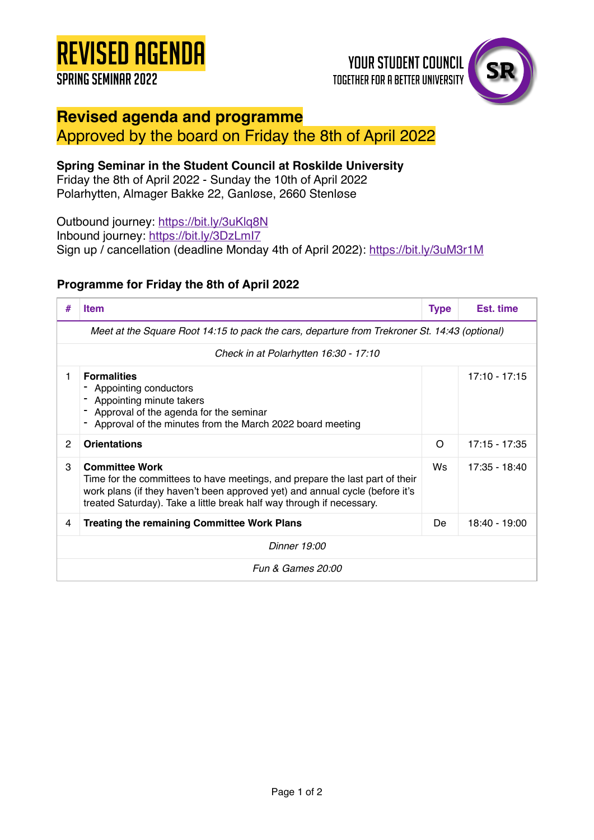# Revised Agenda

## Spring seminar 2022

# **YOUR STUDENT COUNCIL TOGETHER FOR A BETTER UNIVERSITY**



# **Revised agenda and programme**

### Approved by the board on Friday the 8th of April 2022

#### **Spring Seminar in the Student Council at Roskilde University**

Friday the 8th of April 2022 - Sunday the 10th of April 2022 Polarhytten, Almager Bakke 22, Ganløse, 2660 Stenløse

Outbound journey: <https://bit.ly/3uKlq8N> Inbound journey:<https://bit.ly/3DzLmI7> Sign up / cancellation (deadline Monday 4th of April 2022):<https://bit.ly/3uM3r1M>

#### **Programme for Friday the 8th of April 2022**

| #                                                                                             | <b>Item</b>                                                                                                                                                                                                                                                    | <b>Type</b> | Est. time       |  |  |
|-----------------------------------------------------------------------------------------------|----------------------------------------------------------------------------------------------------------------------------------------------------------------------------------------------------------------------------------------------------------------|-------------|-----------------|--|--|
| Meet at the Square Root 14:15 to pack the cars, departure from Trekroner St. 14:43 (optional) |                                                                                                                                                                                                                                                                |             |                 |  |  |
| Check in at Polarhytten 16:30 - 17:10                                                         |                                                                                                                                                                                                                                                                |             |                 |  |  |
| 1                                                                                             | <b>Formalities</b><br>Appointing conductors<br>Appointing minute takers<br>Approval of the agenda for the seminar<br>Approval of the minutes from the March 2022 board meeting                                                                                 |             | $17:10 - 17:15$ |  |  |
| $\mathcal{P}$                                                                                 | <b>Orientations</b>                                                                                                                                                                                                                                            | $\Omega$    | $17:15 - 17:35$ |  |  |
| 3                                                                                             | <b>Committee Work</b><br>Time for the committees to have meetings, and prepare the last part of their<br>work plans (if they haven't been approved yet) and annual cycle (before it's<br>treated Saturday). Take a little break half way through if necessary. | Ws.         | $17:35 - 18:40$ |  |  |
| 4                                                                                             | <b>Treating the remaining Committee Work Plans</b>                                                                                                                                                                                                             | De          | 18:40 - 19:00   |  |  |
| Dinner 19:00                                                                                  |                                                                                                                                                                                                                                                                |             |                 |  |  |
| <b>Fun &amp; Games 20:00</b>                                                                  |                                                                                                                                                                                                                                                                |             |                 |  |  |